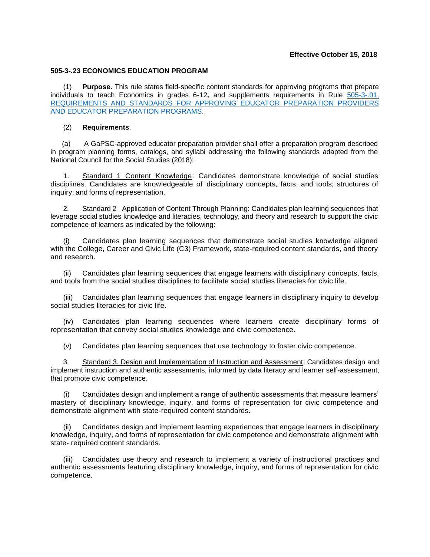## **505-3-.23 ECONOMICS EDUCATION PROGRAM**

(1) **Purpose.** This rule states field-specific content standards for approving programs that prepare individuals to teach Economics in grades 6-12**,** and supplements requirements in Rule [505-3-.01,](https://www.gapsc.com/Rules/Current/EducatorPreparation/505-3-.01.pdf?dt=%3C%25#Eval()  [REQUIREMENTS AND STANDARDS FOR APPROVING EDUCATOR PREPARATION PROVIDERS](https://www.gapsc.com/Rules/Current/EducatorPreparation/505-3-.01.pdf?dt=%3C%25#Eval() [AND EDUCATOR PREPARATION PROGRAMS.](https://www.gapsc.com/Rules/Current/EducatorPreparation/505-3-.01.pdf?dt=%3C%25#Eval()

## (2) **Requirements**.

(a) A GaPSC-approved educator preparation provider shall offer a preparation program described in program planning forms, catalogs, and syllabi addressing the following standards adapted from the National Council for the Social Studies (2018):

1. Standard 1 Content Knowledge: Candidates demonstrate knowledge of social studies disciplines. Candidates are knowledgeable of disciplinary concepts, facts, and tools; structures of inquiry; and forms of representation.

2. Standard 2 Application of Content Through Planning: Candidates plan learning sequences that leverage social studies knowledge and literacies, technology, and theory and research to support the civic competence of learners as indicated by the following:

(i) Candidates plan learning sequences that demonstrate social studies knowledge aligned with the College, Career and Civic Life (C3) Framework, state-required content standards, and theory and research.

(ii) Candidates plan learning sequences that engage learners with disciplinary concepts, facts, and tools from the social studies disciplines to facilitate social studies literacies for civic life.

(iii) Candidates plan learning sequences that engage learners in disciplinary inquiry to develop social studies literacies for civic life.

(iv) Candidates plan learning sequences where learners create disciplinary forms of representation that convey social studies knowledge and civic competence.

(v) Candidates plan learning sequences that use technology to foster civic competence.

3. Standard 3. Design and Implementation of Instruction and Assessment: Candidates design and implement instruction and authentic assessments, informed by data literacy and learner self-assessment, that promote civic competence.

(i) Candidates design and implement a range of authentic assessments that measure learners' mastery of disciplinary knowledge, inquiry, and forms of representation for civic competence and demonstrate alignment with state-required content standards.

Candidates design and implement learning experiences that engage learners in disciplinary knowledge, inquiry, and forms of representation for civic competence and demonstrate alignment with state- required content standards.

(iii) Candidates use theory and research to implement a variety of instructional practices and authentic assessments featuring disciplinary knowledge, inquiry, and forms of representation for civic competence.